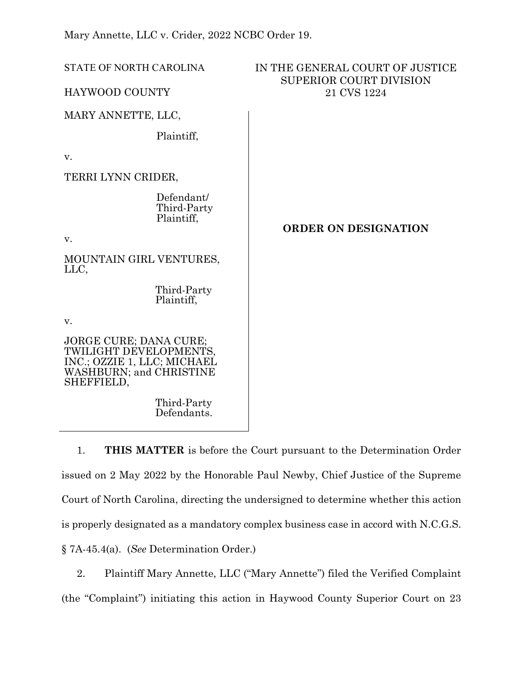Mary Annette, LLC v. Crider, 2022 NCBC Order 19.

Defendants.

| <b>STATE OF NORTH CAROLINA</b>                                                                                           | IN THE GENERAL COURT OF JUSTICE<br>SUPERIOR COURT DIVISION<br>21 CVS 1224 |
|--------------------------------------------------------------------------------------------------------------------------|---------------------------------------------------------------------------|
| <b>HAYWOOD COUNTY</b>                                                                                                    |                                                                           |
| MARY ANNETTE, LLC,                                                                                                       |                                                                           |
| Plaintiff,                                                                                                               |                                                                           |
| v.                                                                                                                       |                                                                           |
| TERRI LYNN CRIDER,                                                                                                       |                                                                           |
| Defendant/<br>Third-Party<br>Plaintiff,                                                                                  | <b>ORDER ON DESIGNATION</b>                                               |
| V.                                                                                                                       |                                                                           |
| MOUNTAIN GIRL VENTURES,<br>LLC,                                                                                          |                                                                           |
| Third-Party<br>Plaintiff,                                                                                                |                                                                           |
| V.                                                                                                                       |                                                                           |
| JORGE CURE; DANA CURE;<br>TWILIGHT DEVELOPMENTS,<br>INC.; OZZIE 1, LLC; MICHAEL<br>WASHBURN; and CHRISTINE<br>SHEFFIELD, |                                                                           |
| Third-Party                                                                                                              |                                                                           |

1. **THIS MATTER** is before the Court pursuant to the Determination Order issued on 2 May 2022 by the Honorable Paul Newby, Chief Justice of the Supreme Court of North Carolina, directing the undersigned to determine whether this action is properly designated as a mandatory complex business case in accord with N.C.G.S. § 7A-45.4(a). (*See* Determination Order.)

2. Plaintiff Mary Annette, LLC ("Mary Annette") filed the Verified Complaint (the "Complaint") initiating this action in Haywood County Superior Court on 23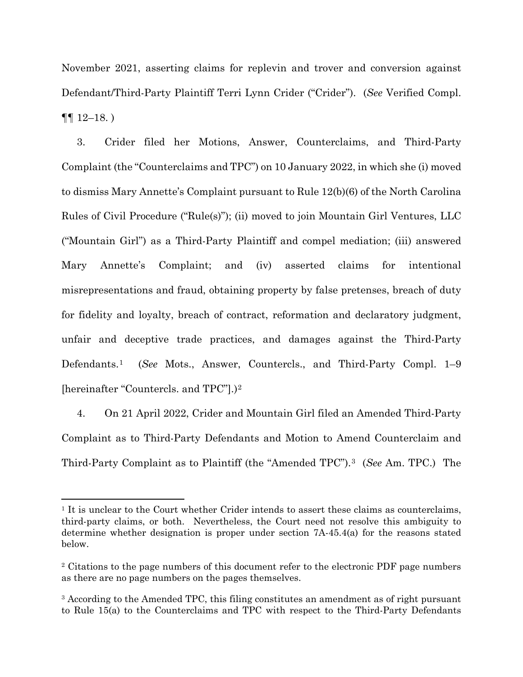November 2021, asserting claims for replevin and trover and conversion against Defendant/Third-Party Plaintiff Terri Lynn Crider ("Crider"). (*See* Verified Compl.  $\P\P$  12–18.)

3. Crider filed her Motions, Answer, Counterclaims, and Third-Party Complaint (the "Counterclaims and TPC") on 10 January 2022, in which she (i) moved to dismiss Mary Annette's Complaint pursuant to Rule 12(b)(6) of the North Carolina Rules of Civil Procedure ("Rule(s)"); (ii) moved to join Mountain Girl Ventures, LLC ("Mountain Girl") as a Third-Party Plaintiff and compel mediation; (iii) answered Mary Annette's Complaint; and (iv) asserted claims for intentional misrepresentations and fraud, obtaining property by false pretenses, breach of duty for fidelity and loyalty, breach of contract, reformation and declaratory judgment, unfair and deceptive trade practices, and damages against the Third-Party Defendants.[1](#page-1-0) (*See* Mots., Answer, Countercls., and Third-Party Compl. 1–9 [hereinafter "Countercls. and TPC"].)[2](#page-1-1)

4. On 21 April 2022, Crider and Mountain Girl filed an Amended Third-Party Complaint as to Third-Party Defendants and Motion to Amend Counterclaim and Third-Party Complaint as to Plaintiff (the "Amended TPC").[3](#page-1-2) (*See* Am. TPC.) The

<span id="page-1-0"></span><sup>&</sup>lt;sup>1</sup> It is unclear to the Court whether Crider intends to assert these claims as counterclaims, third-party claims, or both. Nevertheless, the Court need not resolve this ambiguity to determine whether designation is proper under section 7A-45.4(a) for the reasons stated below.

<span id="page-1-1"></span><sup>&</sup>lt;sup>2</sup> Citations to the page numbers of this document refer to the electronic PDF page numbers as there are no page numbers on the pages themselves.

<span id="page-1-2"></span><sup>&</sup>lt;sup>3</sup> According to the Amended TPC, this filing constitutes an amendment as of right pursuant to Rule 15(a) to the Counterclaims and TPC with respect to the Third-Party Defendants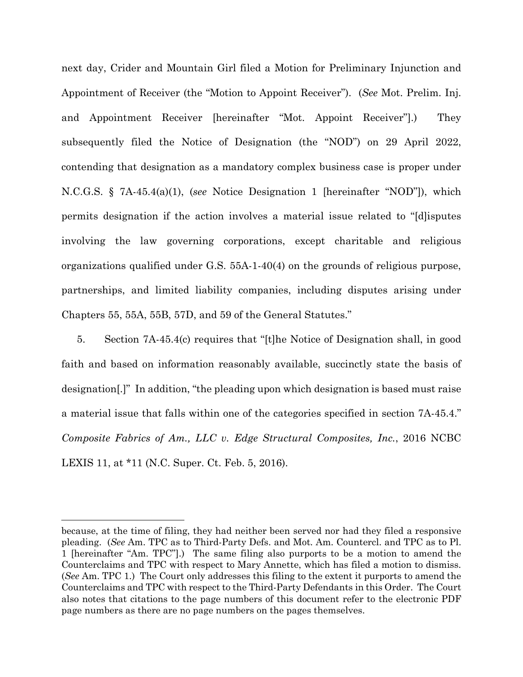next day, Crider and Mountain Girl filed a Motion for Preliminary Injunction and Appointment of Receiver (the "Motion to Appoint Receiver"). (*See* Mot. Prelim. Inj. and Appointment Receiver [hereinafter "Mot. Appoint Receiver"].) They subsequently filed the Notice of Designation (the "NOD") on 29 April 2022, contending that designation as a mandatory complex business case is proper under N.C.G.S. § 7A-45.4(a)(1), (*see* Notice Designation 1 [hereinafter "NOD"]), which permits designation if the action involves a material issue related to "[d]isputes involving the law governing corporations, except charitable and religious organizations qualified under G.S. 55A-1-40(4) on the grounds of religious purpose, partnerships, and limited liability companies, including disputes arising under Chapters 55, 55A, 55B, 57D, and 59 of the General Statutes."

5. Section 7A-45.4(c) requires that "[t]he Notice of Designation shall, in good faith and based on information reasonably available, succinctly state the basis of designation[.]" In addition, "the pleading upon which designation is based must raise a material issue that falls within one of the categories specified in section 7A-45.4." *Composite Fabrics of Am., LLC v. Edge Structural Composites, Inc.*, 2016 NCBC LEXIS 11, at \*11 (N.C. Super. Ct. Feb. 5, 2016).

because, at the time of filing, they had neither been served nor had they filed a responsive pleading. (*See* Am. TPC as to Third-Party Defs. and Mot. Am. Countercl. and TPC as to Pl. 1 [hereinafter "Am. TPC"].) The same filing also purports to be a motion to amend the Counterclaims and TPC with respect to Mary Annette, which has filed a motion to dismiss. (*See* Am. TPC 1.) The Court only addresses this filing to the extent it purports to amend the Counterclaims and TPC with respect to the Third-Party Defendants in this Order. The Court also notes that citations to the page numbers of this document refer to the electronic PDF page numbers as there are no page numbers on the pages themselves.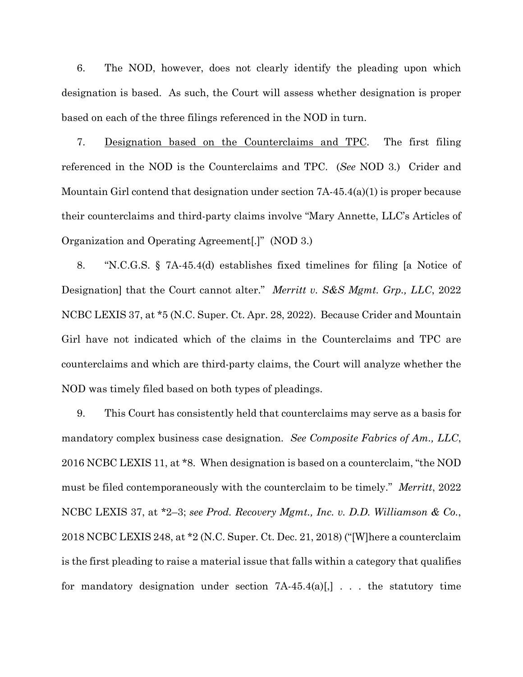6. The NOD, however, does not clearly identify the pleading upon which designation is based. As such, the Court will assess whether designation is proper based on each of the three filings referenced in the NOD in turn.

7. Designation based on the Counterclaims and TPC. The first filing referenced in the NOD is the Counterclaims and TPC. (*See* NOD 3.) Crider and Mountain Girl contend that designation under section 7A-45.4(a)(1) is proper because their counterclaims and third-party claims involve "Mary Annette, LLC's Articles of Organization and Operating Agreement[.]" (NOD 3.)

8. "N.C.G.S. § 7A-45.4(d) establishes fixed timelines for filing [a Notice of Designation] that the Court cannot alter." *Merritt v. S&S Mgmt. Grp., LLC*, 2022 NCBC LEXIS 37, at \*5 (N.C. Super. Ct. Apr. 28, 2022). Because Crider and Mountain Girl have not indicated which of the claims in the Counterclaims and TPC are counterclaims and which are third-party claims, the Court will analyze whether the NOD was timely filed based on both types of pleadings.

9. This Court has consistently held that counterclaims may serve as a basis for mandatory complex business case designation. *See Composite Fabrics of Am., LLC*, 2016 NCBC LEXIS 11, at \*8. When designation is based on a counterclaim, "the NOD must be filed contemporaneously with the counterclaim to be timely." *Merritt*, 2022 NCBC LEXIS 37, at \*2–3; *see Prod. Recovery Mgmt., Inc. v. D.D. Williamson & Co.*, 2018 NCBC LEXIS 248, at \*2 (N.C. Super. Ct. Dec. 21, 2018) ("[W]here a counterclaim is the first pleading to raise a material issue that falls within a category that qualifies for mandatory designation under section  $7A-45.4(a)$ [,] . . . the statutory time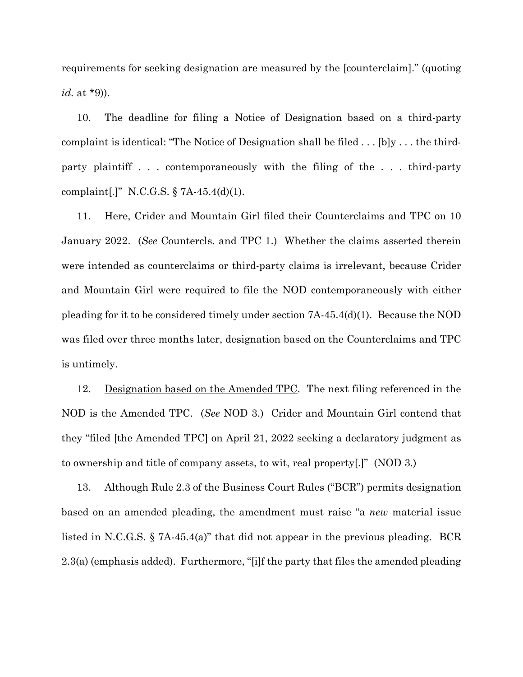requirements for seeking designation are measured by the [counterclaim]." (quoting *id.* at \*9)).

10. The deadline for filing a Notice of Designation based on a third-party complaint is identical: "The Notice of Designation shall be filed  $\dots$  [b]y  $\dots$  the thirdparty plaintiff . . . contemporaneously with the filing of the . . . third-party complaint[.]" N.C.G.S. § 7A-45.4(d)(1).

11. Here, Crider and Mountain Girl filed their Counterclaims and TPC on 10 January 2022. (*See* Countercls. and TPC 1.) Whether the claims asserted therein were intended as counterclaims or third-party claims is irrelevant, because Crider and Mountain Girl were required to file the NOD contemporaneously with either pleading for it to be considered timely under section 7A-45.4(d)(1). Because the NOD was filed over three months later, designation based on the Counterclaims and TPC is untimely.

12. Designation based on the Amended TPC. The next filing referenced in the NOD is the Amended TPC. (*See* NOD 3.) Crider and Mountain Girl contend that they "filed [the Amended TPC] on April 21, 2022 seeking a declaratory judgment as to ownership and title of company assets, to wit, real property[.]" (NOD 3.)

13. Although Rule 2.3 of the Business Court Rules ("BCR") permits designation based on an amended pleading, the amendment must raise "a *new* material issue listed in N.C.G.S. § 7A-45.4(a)" that did not appear in the previous pleading. BCR 2.3(a) (emphasis added). Furthermore, "[i]f the party that files the amended pleading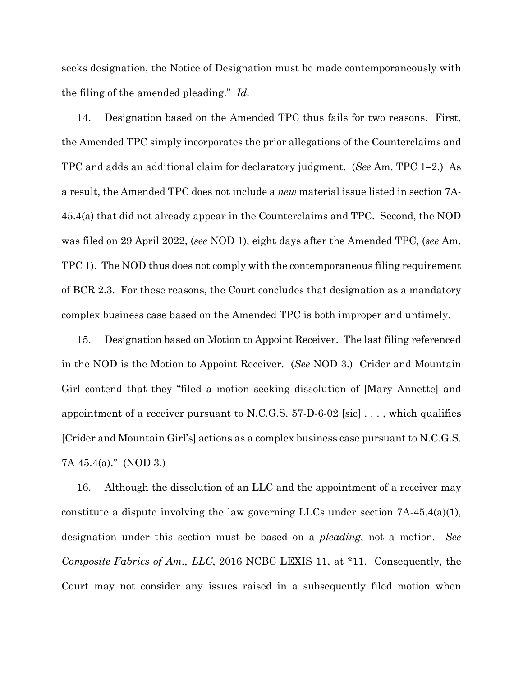seeks designation, the Notice of Designation must be made contemporaneously with the filing of the amended pleading." *Id.*

14. Designation based on the Amended TPC thus fails for two reasons. First, the Amended TPC simply incorporates the prior allegations of the Counterclaims and TPC and adds an additional claim for declaratory judgment. (*See* Am. TPC 1–2.) As a result, the Amended TPC does not include a *new* material issue listed in section 7A-45.4(a) that did not already appear in the Counterclaims and TPC. Second, the NOD was filed on 29 April 2022, (*see* NOD 1), eight days after the Amended TPC, (*see* Am. TPC 1). The NOD thus does not comply with the contemporaneous filing requirement of BCR 2.3. For these reasons, the Court concludes that designation as a mandatory complex business case based on the Amended TPC is both improper and untimely.

15. Designation based on Motion to Appoint Receiver. The last filing referenced in the NOD is the Motion to Appoint Receiver. (*See* NOD 3.) Crider and Mountain Girl contend that they "filed a motion seeking dissolution of [Mary Annette] and appointment of a receiver pursuant to N.C.G.S.  $57-D-6-02$  [sic] ..., which qualifies [Crider and Mountain Girl's] actions as a complex business case pursuant to N.C.G.S. 7A-45.4(a)." (NOD 3.)

16. Although the dissolution of an LLC and the appointment of a receiver may constitute a dispute involving the law governing LLCs under section  $7A-45.4(a)(1)$ , designation under this section must be based on a *pleading*, not a motion*. See Composite Fabrics of Am., LLC*, 2016 NCBC LEXIS 11, at \*11. Consequently, the Court may not consider any issues raised in a subsequently filed motion when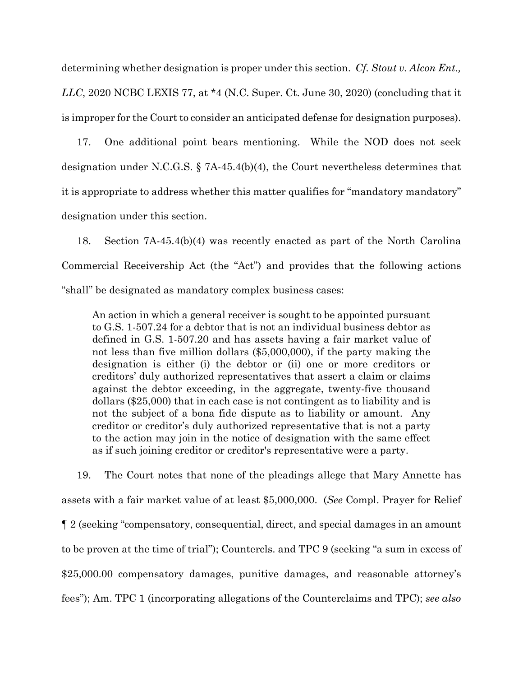determining whether designation is proper under this section. *Cf. Stout v. Alcon Ent., LLC*, 2020 NCBC LEXIS 77, at \*4 (N.C. Super. Ct. June 30, 2020) (concluding that it is improper for the Court to consider an anticipated defense for designation purposes).

17. One additional point bears mentioning. While the NOD does not seek designation under N.C.G.S. § 7A-45.4(b)(4), the Court nevertheless determines that it is appropriate to address whether this matter qualifies for "mandatory mandatory" designation under this section.

18. Section 7A-45.4(b)(4) was recently enacted as part of the North Carolina Commercial Receivership Act (the "Act") and provides that the following actions "shall" be designated as mandatory complex business cases:

An action in which a general receiver is sought to be appointed pursuant to G.S. 1-507.24 for a debtor that is not an individual business debtor as defined in G.S. 1-507.20 and has assets having a fair market value of not less than five million dollars (\$5,000,000), if the party making the designation is either (i) the debtor or (ii) one or more creditors or creditors' duly authorized representatives that assert a claim or claims against the debtor exceeding, in the aggregate, twenty-five thousand dollars (\$25,000) that in each case is not contingent as to liability and is not the subject of a bona fide dispute as to liability or amount. Any creditor or creditor's duly authorized representative that is not a party to the action may join in the notice of designation with the same effect as if such joining creditor or creditor's representative were a party.

19. The Court notes that none of the pleadings allege that Mary Annette has assets with a fair market value of at least \$5,000,000. (*See* Compl. Prayer for Relief ¶ 2 (seeking "compensatory, consequential, direct, and special damages in an amount to be proven at the time of trial"); Countercls. and TPC 9 (seeking "a sum in excess of \$25,000.00 compensatory damages, punitive damages, and reasonable attorney's fees"); Am. TPC 1 (incorporating allegations of the Counterclaims and TPC); *see also*